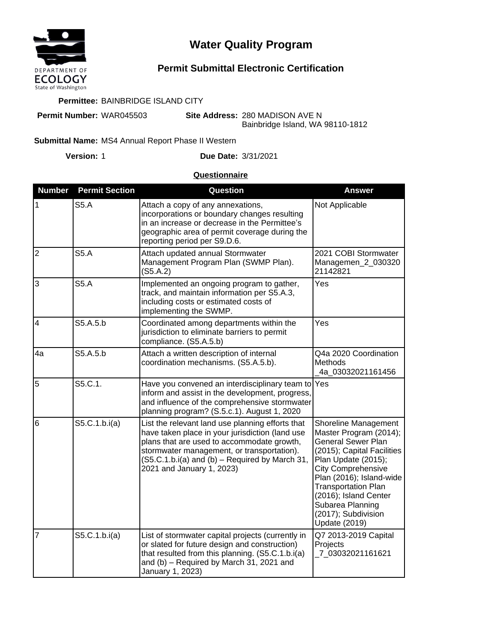

# **Water Quality Program**

## **Permit Submittal Electronic Certification**

#### **Permittee:** BAINBRIDGE ISLAND CITY

**Permit Number:** WAR045503

**Site Address:** 280 MADISON AVE N Bainbridge Island, WA 98110-1812

### **Submittal Name: MS4 Annual Report Phase II Western**

**Version:**

1 **Due Date:** 3/31/2021

#### **Questionnaire**

| <b>Number</b>           | <b>Permit Section</b> | Question                                                                                                                                                                                                                                                                       | <b>Answer</b>                                                                                                                                                                                                                                                                                                       |
|-------------------------|-----------------------|--------------------------------------------------------------------------------------------------------------------------------------------------------------------------------------------------------------------------------------------------------------------------------|---------------------------------------------------------------------------------------------------------------------------------------------------------------------------------------------------------------------------------------------------------------------------------------------------------------------|
| $\mathbf{1}$            | S5.A                  | Attach a copy of any annexations,<br>incorporations or boundary changes resulting<br>in an increase or decrease in the Permittee's<br>geographic area of permit coverage during the<br>reporting period per S9.D.6.                                                            | Not Applicable                                                                                                                                                                                                                                                                                                      |
| $\overline{2}$          | <b>S5.A</b>           | Attach updated annual Stormwater<br>Management Program Plan (SWMP Plan).<br>(S5.A.2)                                                                                                                                                                                           | 2021 COBI Stormwater<br>Managemen_2_030320<br>21142821                                                                                                                                                                                                                                                              |
| 3                       | <b>S5.A</b>           | Implemented an ongoing program to gather,<br>track, and maintain information per S5.A.3,<br>including costs or estimated costs of<br>implementing the SWMP.                                                                                                                    | Yes                                                                                                                                                                                                                                                                                                                 |
| $\overline{\mathbf{4}}$ | S5.A.5.b              | Coordinated among departments within the<br>jurisdiction to eliminate barriers to permit<br>compliance. (S5.A.5.b)                                                                                                                                                             | Yes                                                                                                                                                                                                                                                                                                                 |
| 4a                      | S5.A.5.b              | Attach a written description of internal<br>coordination mechanisms. (S5.A.5.b).                                                                                                                                                                                               | Q4a 2020 Coordination<br>Methods<br>4a_03032021161456                                                                                                                                                                                                                                                               |
| 5                       | S5.C.1.               | Have you convened an interdisciplinary team to<br>inform and assist in the development, progress,<br>and influence of the comprehensive stormwater<br>planning program? (S.5.c.1). August 1, 2020                                                                              | Yes                                                                                                                                                                                                                                                                                                                 |
| 6                       | S5.C.1.b.i(a)         | List the relevant land use planning efforts that<br>have taken place in your jurisdiction (land use<br>plans that are used to accommodate growth,<br>stormwater management, or transportation).<br>(S5.C.1.b.i(a) and (b) - Required by March 31,<br>2021 and January 1, 2023) | Shoreline Management<br>Master Program (2014);<br><b>General Sewer Plan</b><br>(2015); Capital Facilities<br>Plan Update (2015);<br><b>City Comprehensive</b><br>Plan (2016); Island-wide<br><b>Transportation Plan</b><br>(2016); Island Center<br>Subarea Planning<br>(2017); Subdivision<br><b>Update (2019)</b> |
| $\overline{7}$          | S5.C.1.b.i(a)         | List of stormwater capital projects (currently in<br>or slated for future design and construction)<br>that resulted from this planning. (S5.C.1.b.i(a)<br>and (b) - Required by March 31, 2021 and<br>January 1, 2023)                                                         | Q7 2013-2019 Capital<br>Projects<br>7_03032021161621                                                                                                                                                                                                                                                                |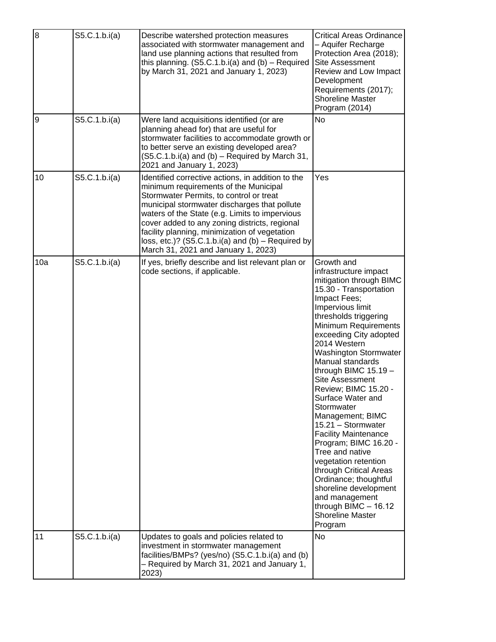| $\overline{8}$ | S5.C.1.b.i(a) | Describe watershed protection measures<br>associated with stormwater management and<br>land use planning actions that resulted from<br>this planning. $(S5.C.1.b.i(a)$ and $(b)$ - Required<br>by March 31, 2021 and January 1, 2023)                                                                                                                                                                                                     | <b>Critical Areas Ordinance</b><br>- Aquifer Recharge<br>Protection Area (2018);<br><b>Site Assessment</b><br>Review and Low Impact<br>Development<br>Requirements (2017);<br><b>Shoreline Master</b><br>Program (2014)                                                                                                                                                                                                                                                                                                                                                                                                                                                                        |
|----------------|---------------|-------------------------------------------------------------------------------------------------------------------------------------------------------------------------------------------------------------------------------------------------------------------------------------------------------------------------------------------------------------------------------------------------------------------------------------------|------------------------------------------------------------------------------------------------------------------------------------------------------------------------------------------------------------------------------------------------------------------------------------------------------------------------------------------------------------------------------------------------------------------------------------------------------------------------------------------------------------------------------------------------------------------------------------------------------------------------------------------------------------------------------------------------|
| $\overline{9}$ | S5.C.1.b.i(a) | Were land acquisitions identified (or are<br>planning ahead for) that are useful for<br>stormwater facilities to accommodate growth or<br>to better serve an existing developed area?<br>(S5.C.1.b.i(a) and (b) – Required by March 31,<br>2021 and January 1, 2023)                                                                                                                                                                      | <b>No</b>                                                                                                                                                                                                                                                                                                                                                                                                                                                                                                                                                                                                                                                                                      |
| 10             | S5.C.1.b.i(a) | Identified corrective actions, in addition to the<br>minimum requirements of the Municipal<br>Stormwater Permits, to control or treat<br>municipal stormwater discharges that pollute<br>waters of the State (e.g. Limits to impervious<br>cover added to any zoning districts, regional<br>facility planning, minimization of vegetation<br>loss, etc.)? $(S5.C.1.b.i(a)$ and $(b)$ – Required by<br>March 31, 2021 and January 1, 2023) | Yes                                                                                                                                                                                                                                                                                                                                                                                                                                                                                                                                                                                                                                                                                            |
| 10a            | S5.C.1.b.i(a) | If yes, briefly describe and list relevant plan or<br>code sections, if applicable.                                                                                                                                                                                                                                                                                                                                                       | Growth and<br>infrastructure impact<br>mitigation through BIMC<br>15.30 - Transportation<br>Impact Fees;<br>Impervious limit<br>thresholds triggering<br>Minimum Requirements<br>exceeding City adopted<br>2014 Western<br><b>Washington Stormwater</b><br>Manual standards<br>through BIMC $15.19 -$<br>Site Assessment<br>Review; BIMC 15.20 -<br>Surface Water and<br>Stormwater<br>Management; BIMC<br>15.21 - Stormwater<br><b>Facility Maintenance</b><br>Program; BIMC 16.20 -<br>Tree and native<br>vegetation retention<br>through Critical Areas<br>Ordinance; thoughtful<br>shoreline development<br>and management<br>through BIMC $- 16.12$<br><b>Shoreline Master</b><br>Program |
| 11             | S5.C.1.b.i(a) | Updates to goals and policies related to<br>investment in stormwater management<br>facilities/BMPs? (yes/no) (S5.C.1.b.i(a) and (b)<br>- Required by March 31, 2021 and January 1,<br>2023)                                                                                                                                                                                                                                               | No                                                                                                                                                                                                                                                                                                                                                                                                                                                                                                                                                                                                                                                                                             |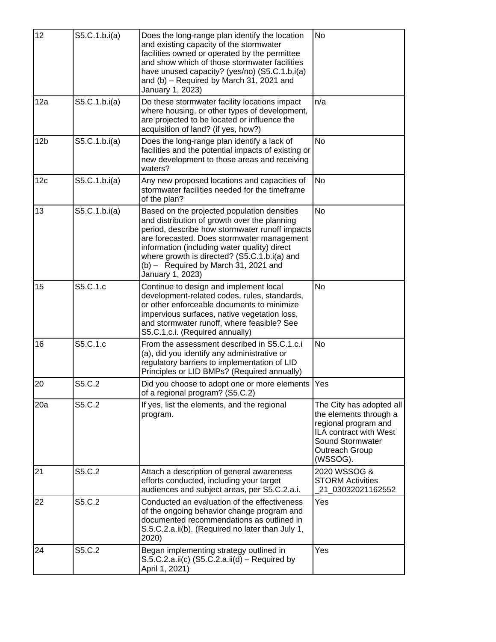| 12              | S5.C.1.b.i(a) | Does the long-range plan identify the location<br>and existing capacity of the stormwater<br>facilities owned or operated by the permittee<br>and show which of those stormwater facilities<br>have unused capacity? (yes/no) (S5.C.1.b.i(a)<br>and (b) - Required by March 31, 2021 and<br>January 1, 2023)                                              | <b>No</b>                                                                                                                                              |
|-----------------|---------------|-----------------------------------------------------------------------------------------------------------------------------------------------------------------------------------------------------------------------------------------------------------------------------------------------------------------------------------------------------------|--------------------------------------------------------------------------------------------------------------------------------------------------------|
| 12a             | S5.C.1.b.i(a) | Do these stormwater facility locations impact<br>where housing, or other types of development,<br>are projected to be located or influence the<br>acquisition of land? (if yes, how?)                                                                                                                                                                     | n/a                                                                                                                                                    |
| 12 <sub>b</sub> | S5.C.1.b.i(a) | Does the long-range plan identify a lack of<br>facilities and the potential impacts of existing or<br>new development to those areas and receiving<br>waters?                                                                                                                                                                                             | <b>No</b>                                                                                                                                              |
| 12c             | S5.C.1.b.i(a) | Any new proposed locations and capacities of<br>stormwater facilities needed for the timeframe<br>of the plan?                                                                                                                                                                                                                                            | No                                                                                                                                                     |
| 13              | S5.C.1.b.i(a) | Based on the projected population densities<br>and distribution of growth over the planning<br>period, describe how stormwater runoff impacts<br>are forecasted. Does stormwater management<br>information (including water quality) direct<br>where growth is directed? (S5.C.1.b.i(a) and<br>$(b)$ – Required by March 31, 2021 and<br>January 1, 2023) | <b>No</b>                                                                                                                                              |
| 15              | S5.C.1.c      | Continue to design and implement local<br>development-related codes, rules, standards,<br>or other enforceable documents to minimize<br>impervious surfaces, native vegetation loss,<br>and stormwater runoff, where feasible? See<br>S5.C.1.c.i. (Required annually)                                                                                     | <b>No</b>                                                                                                                                              |
| 16              | S5.C.1.c      | From the assessment described in S5.C.1.c.i<br>(a), did you identify any administrative or<br>regulatory barriers to implementation of LID<br>Principles or LID BMPs? (Required annually)                                                                                                                                                                 | No                                                                                                                                                     |
| 20              | S5.C.2        | Did you choose to adopt one or more elements<br>of a regional program? (S5.C.2)                                                                                                                                                                                                                                                                           | Yes                                                                                                                                                    |
| 20a             | S5.C.2        | If yes, list the elements, and the regional<br>program.                                                                                                                                                                                                                                                                                                   | The City has adopted all<br>the elements through a<br>regional program and<br>ILA contract with West<br>Sound Stormwater<br>Outreach Group<br>(WSSOG). |
| 21              | S5.C.2        | Attach a description of general awareness<br>efforts conducted, including your target<br>audiences and subject areas, per S5.C.2.a.i.                                                                                                                                                                                                                     | 2020 WSSOG &<br><b>STORM Activities</b><br>21_03032021162552                                                                                           |
| 22              | S5.C.2        | Conducted an evaluation of the effectiveness<br>of the ongoing behavior change program and<br>documented recommendations as outlined in<br>S.5.C.2.a.ii(b). (Required no later than July 1,<br>2020)                                                                                                                                                      | Yes                                                                                                                                                    |
| 24              | S5.C.2        | Began implementing strategy outlined in<br>$S.5.C.2.a.ii(c)$ (S5.C.2.a.ii(d) – Required by<br>April 1, 2021)                                                                                                                                                                                                                                              | Yes                                                                                                                                                    |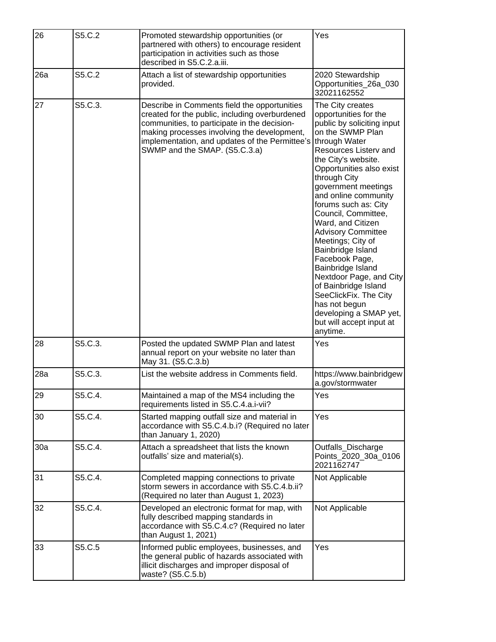| 26  | S5.C.2  | Promoted stewardship opportunities (or<br>partnered with others) to encourage resident<br>participation in activities such as those<br>described in S5.C.2.a.iii.                                                                                                                | Yes                                                                                                                                                                                                                                                                                                                                                                                                                                                                                                                                                                                                      |
|-----|---------|----------------------------------------------------------------------------------------------------------------------------------------------------------------------------------------------------------------------------------------------------------------------------------|----------------------------------------------------------------------------------------------------------------------------------------------------------------------------------------------------------------------------------------------------------------------------------------------------------------------------------------------------------------------------------------------------------------------------------------------------------------------------------------------------------------------------------------------------------------------------------------------------------|
| 26a | S5.C.2  | Attach a list of stewardship opportunities<br>provided.                                                                                                                                                                                                                          | 2020 Stewardship<br>Opportunities_26a_030<br>32021162552                                                                                                                                                                                                                                                                                                                                                                                                                                                                                                                                                 |
| 27  | S5.C.3. | Describe in Comments field the opportunities<br>created for the public, including overburdened<br>communities, to participate in the decision-<br>making processes involving the development,<br>implementation, and updates of the Permittee's<br>SWMP and the SMAP. (S5.C.3.a) | The City creates<br>opportunities for the<br>public by soliciting input<br>on the SWMP Plan<br>through Water<br>Resources Listerv and<br>the City's website.<br>Opportunities also exist<br>through City<br>government meetings<br>and online community<br>forums such as: City<br>Council, Committee,<br>Ward, and Citizen<br><b>Advisory Committee</b><br>Meetings; City of<br>Bainbridge Island<br>Facebook Page,<br>Bainbridge Island<br>Nextdoor Page, and City<br>of Bainbridge Island<br>SeeClickFix. The City<br>has not begun<br>developing a SMAP yet,<br>but will accept input at<br>anytime. |
| 28  | S5.C.3. | Posted the updated SWMP Plan and latest<br>annual report on your website no later than<br>May 31. (S5.C.3.b)                                                                                                                                                                     | Yes                                                                                                                                                                                                                                                                                                                                                                                                                                                                                                                                                                                                      |
| 28a | S5.C.3. | List the website address in Comments field.                                                                                                                                                                                                                                      | https://www.bainbridgew<br>a.gov/stormwater                                                                                                                                                                                                                                                                                                                                                                                                                                                                                                                                                              |
| 29  | S5.C.4. | Maintained a map of the MS4 including the<br>requirements listed in S5.C.4.a.i-vii?                                                                                                                                                                                              | Yes                                                                                                                                                                                                                                                                                                                                                                                                                                                                                                                                                                                                      |
| 30  | S5.C.4. | Started mapping outfall size and material in<br>accordance with S5.C.4.b.i? (Required no later<br>than January 1, 2020)                                                                                                                                                          | Yes                                                                                                                                                                                                                                                                                                                                                                                                                                                                                                                                                                                                      |
| 30a | S5.C.4. | Attach a spreadsheet that lists the known<br>outfalls' size and material(s).                                                                                                                                                                                                     | Outfalls_Discharge<br>Points_2020_30a_0106<br>2021162747                                                                                                                                                                                                                                                                                                                                                                                                                                                                                                                                                 |
| 31  | S5.C.4. | Completed mapping connections to private<br>storm sewers in accordance with S5.C.4.b.ii?<br>(Required no later than August 1, 2023)                                                                                                                                              | Not Applicable                                                                                                                                                                                                                                                                                                                                                                                                                                                                                                                                                                                           |
| 32  | S5.C.4. | Developed an electronic format for map, with<br>fully described mapping standards in<br>accordance with S5.C.4.c? (Required no later<br>than August 1, 2021)                                                                                                                     | Not Applicable                                                                                                                                                                                                                                                                                                                                                                                                                                                                                                                                                                                           |
| 33  | S5.C.5  | Informed public employees, businesses, and<br>the general public of hazards associated with<br>illicit discharges and improper disposal of<br>waste? (S5.C.5.b)                                                                                                                  | Yes                                                                                                                                                                                                                                                                                                                                                                                                                                                                                                                                                                                                      |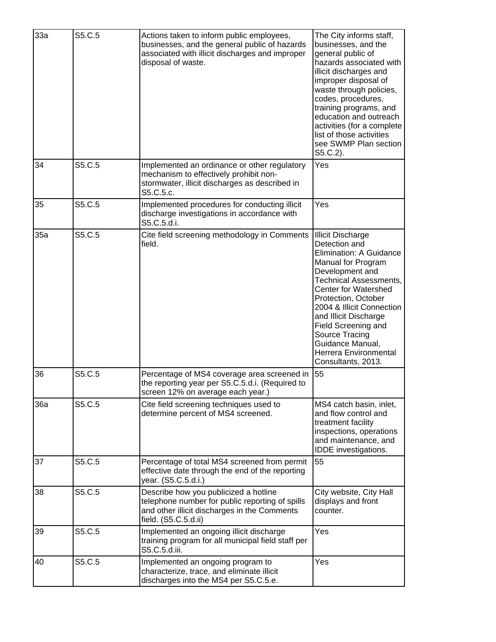| 33a | S5.C.5 | Actions taken to inform public employees,<br>businesses, and the general public of hazards<br>associated with illicit discharges and improper<br>disposal of waste. | The City informs staff,<br>businesses, and the<br>general public of<br>hazards associated with<br>illicit discharges and<br>improper disposal of<br>waste through policies,<br>codes, procedures,<br>training programs, and<br>education and outreach<br>activities (for a complete<br>list of those activities<br>see SWMP Plan section<br>$S5.C.2$ ).                |
|-----|--------|---------------------------------------------------------------------------------------------------------------------------------------------------------------------|------------------------------------------------------------------------------------------------------------------------------------------------------------------------------------------------------------------------------------------------------------------------------------------------------------------------------------------------------------------------|
| 34  | S5.C.5 | Implemented an ordinance or other regulatory<br>mechanism to effectively prohibit non-<br>stormwater, illicit discharges as described in<br>S5.C.5.c.               | Yes                                                                                                                                                                                                                                                                                                                                                                    |
| 35  | S5.C.5 | Implemented procedures for conducting illicit<br>discharge investigations in accordance with<br>S5.C.5.d.i.                                                         | Yes                                                                                                                                                                                                                                                                                                                                                                    |
| 35a | S5.C.5 | Cite field screening methodology in Comments<br>field.                                                                                                              | <b>Illicit Discharge</b><br>Detection and<br>Elimination: A Guidance<br>Manual for Program<br>Development and<br><b>Technical Assessments,</b><br><b>Center for Watershed</b><br>Protection, October<br>2004 & Illicit Connection<br>and Illicit Discharge<br>Field Screening and<br>Source Tracing<br>Guidance Manual,<br>Herrera Environmental<br>Consultants, 2013. |
| 36  | S5.C.5 | Percentage of MS4 coverage area screened in<br>the reporting year per S5.C.5.d.i. (Required to<br>screen 12% on average each year.)                                 | 55                                                                                                                                                                                                                                                                                                                                                                     |
| 36a | S5.C.5 | Cite field screening techniques used to<br>determine percent of MS4 screened.                                                                                       | MS4 catch basin, inlet,<br>and flow control and<br>treatment facility<br>inspections, operations<br>and maintenance, and<br>IDDE investigations.                                                                                                                                                                                                                       |
| 37  | S5.C.5 | Percentage of total MS4 screened from permit<br>effective date through the end of the reporting<br>year. (S5.C.5.d.i.)                                              | 55                                                                                                                                                                                                                                                                                                                                                                     |
| 38  | S5.C.5 | Describe how you publicized a hotline<br>telephone number for public reporting of spills<br>and other illicit discharges in the Comments<br>field. (S5.C.5.d.ii)    | City website, City Hall<br>displays and front<br>counter.                                                                                                                                                                                                                                                                                                              |
| 39  | S5.C.5 | Implemented an ongoing illicit discharge<br>training program for all municipal field staff per<br>S5.C.5.d.iii.                                                     | Yes                                                                                                                                                                                                                                                                                                                                                                    |
| 40  | S5.C.5 | Implemented an ongoing program to<br>characterize, trace, and eliminate illicit<br>discharges into the MS4 per S5.C.5.e.                                            | Yes                                                                                                                                                                                                                                                                                                                                                                    |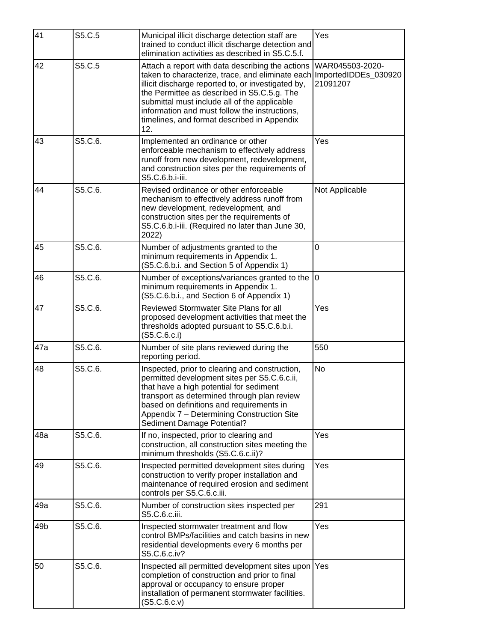| 41  | S5.C.5  | Municipal illicit discharge detection staff are<br>trained to conduct illicit discharge detection and<br>elimination activities as described in S5.C.5.f.                                                                                                                                                                                                        | Yes                                                 |
|-----|---------|------------------------------------------------------------------------------------------------------------------------------------------------------------------------------------------------------------------------------------------------------------------------------------------------------------------------------------------------------------------|-----------------------------------------------------|
| 42  | S5.C.5  | Attach a report with data describing the actions<br>taken to characterize, trace, and eliminate each<br>illicit discharge reported to, or investigated by,<br>the Permittee as described in S5.C.5.g. The<br>submittal must include all of the applicable<br>information and must follow the instructions,<br>timelines, and format described in Appendix<br>12. | WAR045503-2020-<br>ImportedIDDEs_030920<br>21091207 |
| 43  | S5.C.6. | Implemented an ordinance or other<br>enforceable mechanism to effectively address<br>runoff from new development, redevelopment,<br>and construction sites per the requirements of<br>S5.C.6.b.i-iii.                                                                                                                                                            | Yes                                                 |
| 44  | S5.C.6. | Revised ordinance or other enforceable<br>mechanism to effectively address runoff from<br>new development, redevelopment, and<br>construction sites per the requirements of<br>S5.C.6.b.i-iii. (Required no later than June 30,<br>2022)                                                                                                                         | Not Applicable                                      |
| 45  | S5.C.6. | Number of adjustments granted to the<br>minimum requirements in Appendix 1.<br>(S5.C.6.b.i. and Section 5 of Appendix 1)                                                                                                                                                                                                                                         | $\overline{0}$                                      |
| 46  | S5.C.6. | Number of exceptions/variances granted to the<br>minimum requirements in Appendix 1.<br>(S5.C.6.b.i., and Section 6 of Appendix 1)                                                                                                                                                                                                                               | 0                                                   |
| 47  | S5.C.6. | Reviewed Stormwater Site Plans for all<br>proposed development activities that meet the<br>thresholds adopted pursuant to S5.C.6.b.i.<br>(S5.C.6.c.i)                                                                                                                                                                                                            | Yes                                                 |
| 47a | S5.C.6. | Number of site plans reviewed during the<br>reporting period.                                                                                                                                                                                                                                                                                                    | 550                                                 |
| 48  | S5.C.6. | Inspected, prior to clearing and construction,<br>permitted development sites per S5.C.6.c.ii,<br>that have a high potential for sediment<br>transport as determined through plan review<br>based on definitions and requirements in<br>Appendix 7 - Determining Construction Site<br>Sediment Damage Potential?                                                 | <b>No</b>                                           |
| 48a | S5.C.6. | If no, inspected, prior to clearing and<br>construction, all construction sites meeting the<br>minimum thresholds (S5.C.6.c.ii)?                                                                                                                                                                                                                                 | Yes                                                 |
| 49  | S5.C.6. | Inspected permitted development sites during<br>construction to verify proper installation and<br>maintenance of required erosion and sediment<br>controls per S5.C.6.c.iii.                                                                                                                                                                                     | Yes                                                 |
| 49a | S5.C.6. | Number of construction sites inspected per<br>S5.C.6.c.iii.                                                                                                                                                                                                                                                                                                      | 291                                                 |
| 49b | S5.C.6. | Inspected stormwater treatment and flow<br>control BMPs/facilities and catch basins in new<br>residential developments every 6 months per<br>S5.C.6.c.iv?                                                                                                                                                                                                        | Yes                                                 |
| 50  | S5.C.6. | Inspected all permitted development sites upon<br>completion of construction and prior to final<br>approval or occupancy to ensure proper<br>installation of permanent stormwater facilities.<br>(S5.C.6.c.v)                                                                                                                                                    | Yes                                                 |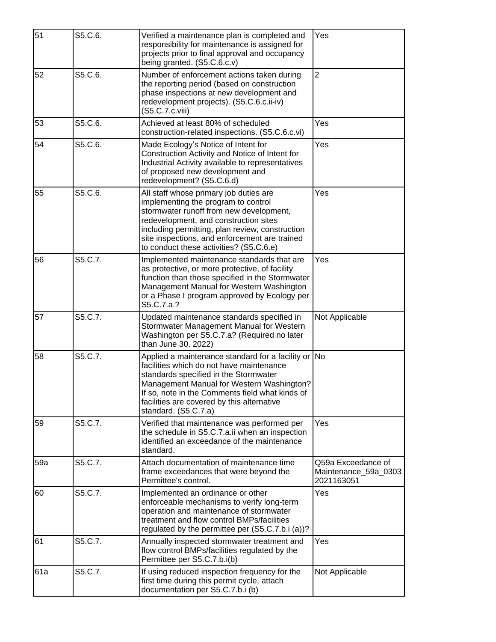| 51  | S5.C.6. | Verified a maintenance plan is completed and<br>responsibility for maintenance is assigned for<br>projects prior to final approval and occupancy<br>being granted. (S5.C.6.c.v)                                                                                                                                  | Yes                                                      |
|-----|---------|------------------------------------------------------------------------------------------------------------------------------------------------------------------------------------------------------------------------------------------------------------------------------------------------------------------|----------------------------------------------------------|
| 52  | S5.C.6. | Number of enforcement actions taken during<br>the reporting period (based on construction<br>phase inspections at new development and<br>redevelopment projects). (S5.C.6.c.ii-iv)<br>(S5.C.7.c.viii)                                                                                                            | $\overline{2}$                                           |
| 53  | S5.C.6. | Achieved at least 80% of scheduled<br>construction-related inspections. (S5.C.6.c.vi)                                                                                                                                                                                                                            | Yes                                                      |
| 54  | S5.C.6. | Made Ecology's Notice of Intent for<br>Construction Activity and Notice of Intent for<br>Industrial Activity available to representatives<br>of proposed new development and<br>redevelopment? (S5.C.6.d)                                                                                                        | Yes                                                      |
| 55  | S5.C.6. | All staff whose primary job duties are<br>implementing the program to control<br>stormwater runoff from new development,<br>redevelopment, and construction sites<br>including permitting, plan review, construction<br>site inspections, and enforcement are trained<br>to conduct these activities? (S5.C.6.e) | Yes                                                      |
| 56  | S5.C.7. | Implemented maintenance standards that are<br>as protective, or more protective, of facility<br>function than those specified in the Stormwater<br>Management Manual for Western Washington<br>or a Phase I program approved by Ecology per<br>S5.C.7.a.?                                                        | Yes                                                      |
| 57  | S5.C.7. | Updated maintenance standards specified in<br>Stormwater Management Manual for Western<br>Washington per S5.C.7.a? (Required no later<br>than June 30, 2022)                                                                                                                                                     | Not Applicable                                           |
| 58  | S5.C.7. | Applied a maintenance standard for a facility or No<br>facilities which do not have maintenance<br>standards specified in the Stormwater<br>Management Manual for Western Washington?<br>If so, note in the Comments field what kinds of<br>facilities are covered by this alternative<br>standard. (S5.C.7.a)   |                                                          |
| 59  | S5.C.7. | Verified that maintenance was performed per<br>the schedule in S5.C.7.a.ii when an inspection<br>identified an exceedance of the maintenance<br>standard.                                                                                                                                                        | Yes                                                      |
| 59a | S5.C.7. | Attach documentation of maintenance time<br>frame exceedances that were beyond the<br>Permittee's control.                                                                                                                                                                                                       | Q59a Exceedance of<br>Maintenance_59a_0303<br>2021163051 |
| 60  | S5.C.7. | Implemented an ordinance or other<br>enforceable mechanisms to verify long-term<br>operation and maintenance of stormwater<br>treatment and flow control BMPs/facilities<br>regulated by the permittee per (S5.C.7.b.i (a))?                                                                                     | Yes                                                      |
| 61  | S5.C.7. | Annually inspected stormwater treatment and<br>flow control BMPs/facilities regulated by the<br>Permittee per S5.C.7.b.i(b)                                                                                                                                                                                      | Yes                                                      |
| 61a | S5.C.7. | If using reduced inspection frequency for the<br>first time during this permit cycle, attach<br>documentation per S5.C.7.b.i (b)                                                                                                                                                                                 | Not Applicable                                           |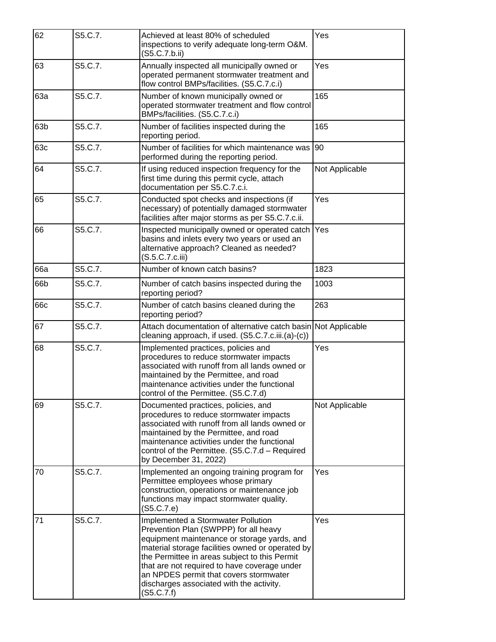| 62  | S5.C.7. | Achieved at least 80% of scheduled<br>inspections to verify adequate long-term O&M.<br>(S5.C.7.b.ii)                                                                                                                                                                                                                                                                                | Yes            |
|-----|---------|-------------------------------------------------------------------------------------------------------------------------------------------------------------------------------------------------------------------------------------------------------------------------------------------------------------------------------------------------------------------------------------|----------------|
| 63  | S5.C.7. | Annually inspected all municipally owned or<br>operated permanent stormwater treatment and<br>flow control BMPs/facilities. (S5.C.7.c.i)                                                                                                                                                                                                                                            | Yes            |
| 63a | S5.C.7. | Number of known municipally owned or<br>operated stormwater treatment and flow control<br>BMPs/facilities. (S5.C.7.c.i)                                                                                                                                                                                                                                                             | 165            |
| 63b | S5.C.7. | Number of facilities inspected during the<br>reporting period.                                                                                                                                                                                                                                                                                                                      | 165            |
| 63c | S5.C.7. | Number of facilities for which maintenance was<br>performed during the reporting period.                                                                                                                                                                                                                                                                                            | 90             |
| 64  | S5.C.7. | If using reduced inspection frequency for the<br>first time during this permit cycle, attach<br>documentation per S5.C.7.c.i.                                                                                                                                                                                                                                                       | Not Applicable |
| 65  | S5.C.7. | Conducted spot checks and inspections (if<br>necessary) of potentially damaged stormwater<br>facilities after major storms as per S5.C.7.c.ii.                                                                                                                                                                                                                                      | Yes            |
| 66  | S5.C.7. | Inspected municipally owned or operated catch<br>basins and inlets every two years or used an<br>alternative approach? Cleaned as needed?<br>(S.5.C.7.c.iii)                                                                                                                                                                                                                        | Yes            |
| 66a | S5.C.7. | Number of known catch basins?                                                                                                                                                                                                                                                                                                                                                       | 1823           |
| 66b | S5.C.7. | Number of catch basins inspected during the<br>reporting period?                                                                                                                                                                                                                                                                                                                    | 1003           |
| 66c | S5.C.7. | Number of catch basins cleaned during the<br>reporting period?                                                                                                                                                                                                                                                                                                                      | 263            |
| 67  | S5.C.7. | Attach documentation of alternative catch basin Not Applicable<br>cleaning approach, if used. (S5.C.7.c.iii.(a)-(c))                                                                                                                                                                                                                                                                |                |
| 68  | S5.C.7. | Implemented practices, policies and<br>procedures to reduce stormwater impacts<br>associated with runoff from all lands owned or<br>maintained by the Permittee, and road<br>maintenance activities under the functional<br>control of the Permittee. (S5.C.7.d)                                                                                                                    | Yes            |
| 69  | S5.C.7. | Documented practices, policies, and<br>procedures to reduce stormwater impacts<br>associated with runoff from all lands owned or<br>maintained by the Permittee, and road<br>maintenance activities under the functional<br>control of the Permittee. (S5.C.7.d - Required<br>by December 31, 2022)                                                                                 | Not Applicable |
| 70  | S5.C.7. | Implemented an ongoing training program for<br>Permittee employees whose primary<br>construction, operations or maintenance job<br>functions may impact stormwater quality.<br>(S5.C.7.e)                                                                                                                                                                                           | Yes            |
| 71  | S5.C.7. | Implemented a Stormwater Pollution<br>Prevention Plan (SWPPP) for all heavy<br>equipment maintenance or storage yards, and<br>material storage facilities owned or operated by<br>the Permittee in areas subject to this Permit<br>that are not required to have coverage under<br>an NPDES permit that covers stormwater<br>discharges associated with the activity.<br>(S5.C.7.f) | Yes            |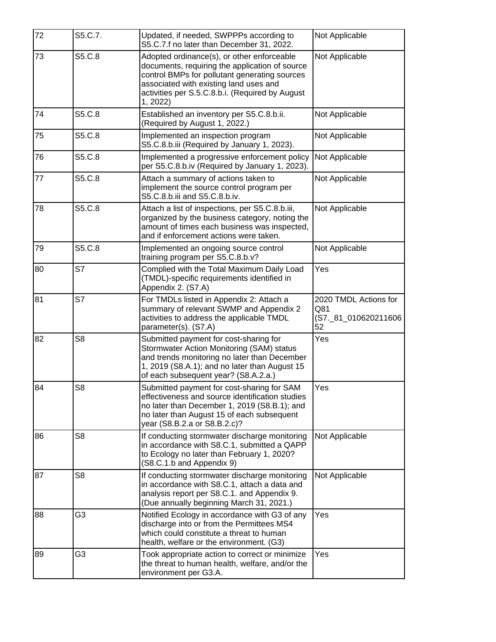| 72 | S5.C.7.        | Updated, if needed, SWPPPs according to<br>S5.C.7.f no later than December 31, 2022.                                                                                                                                                                   | Not Applicable                                             |
|----|----------------|--------------------------------------------------------------------------------------------------------------------------------------------------------------------------------------------------------------------------------------------------------|------------------------------------------------------------|
| 73 | S5.C.8         | Adopted ordinance(s), or other enforceable<br>documents, requiring the application of source<br>control BMPs for pollutant generating sources<br>associated with existing land uses and<br>activities per S.5.C.8.b.i. (Required by August<br>1, 2022) | Not Applicable                                             |
| 74 | S5.C.8         | Established an inventory per S5.C.8.b.ii.<br>(Required by August 1, 2022.)                                                                                                                                                                             | Not Applicable                                             |
| 75 | S5.C.8         | Implemented an inspection program<br>S5.C.8.b.iii (Required by January 1, 2023).                                                                                                                                                                       | Not Applicable                                             |
| 76 | S5.C.8         | Implemented a progressive enforcement policy<br>per S5.C.8.b.iv (Required by January 1, 2023).                                                                                                                                                         | Not Applicable                                             |
| 77 | S5.C.8         | Attach a summary of actions taken to<br>implement the source control program per<br>S5.C.8.b.iii and S5.C.8.b.iv.                                                                                                                                      | Not Applicable                                             |
| 78 | S5.C.8         | Attach a list of inspections, per S5.C.8.b.iii,<br>organized by the business category, noting the<br>amount of times each business was inspected,<br>and if enforcement actions were taken.                                                            | Not Applicable                                             |
| 79 | S5.C.8         | Implemented an ongoing source control<br>training program per S5.C.8.b.v?                                                                                                                                                                              | Not Applicable                                             |
| 80 | S7             | Complied with the Total Maximum Daily Load<br>(TMDL)-specific requirements identified in<br>Appendix 2. (S7.A)                                                                                                                                         | Yes                                                        |
| 81 | S7             | For TMDLs listed in Appendix 2: Attach a<br>summary of relevant SWMP and Appendix 2<br>activities to address the applicable TMDL<br>parameter(s). (S7.A)                                                                                               | 2020 TMDL Actions for<br>Q81<br>(S7._81_010620211606<br>52 |
| 82 | S <sub>8</sub> | Submitted payment for cost-sharing for<br>Stormwater Action Monitoring (SAM) status<br>and trends monitoring no later than December<br>1, 2019 (S8.A.1); and no later than August 15<br>of each subsequent year? (S8.A.2.a.)                           | Yes                                                        |
| 84 | S <sub>8</sub> | Submitted payment for cost-sharing for SAM<br>effectiveness and source identification studies<br>no later than December 1, 2019 (S8.B.1); and<br>no later than August 15 of each subsequent<br>year (S8.B.2.a or S8.B.2.c)?                            | Yes                                                        |
| 86 | S <sub>8</sub> | If conducting stormwater discharge monitoring<br>in accordance with S8.C.1, submitted a QAPP<br>to Ecology no later than February 1, 2020?<br>(S8.C.1.b and Appendix 9)                                                                                | Not Applicable                                             |
| 87 | S <sub>8</sub> | If conducting stormwater discharge monitoring<br>in accordance with S8.C.1, attach a data and<br>analysis report per S8.C.1. and Appendix 9.<br>(Due annually beginning March 31, 2021.)                                                               | Not Applicable                                             |
| 88 | G3             | Notified Ecology in accordance with G3 of any<br>discharge into or from the Permittees MS4<br>which could constitute a threat to human<br>health, welfare or the environment. (G3)                                                                     | Yes                                                        |
| 89 | G3             | Took appropriate action to correct or minimize<br>the threat to human health, welfare, and/or the<br>environment per G3.A.                                                                                                                             | Yes                                                        |